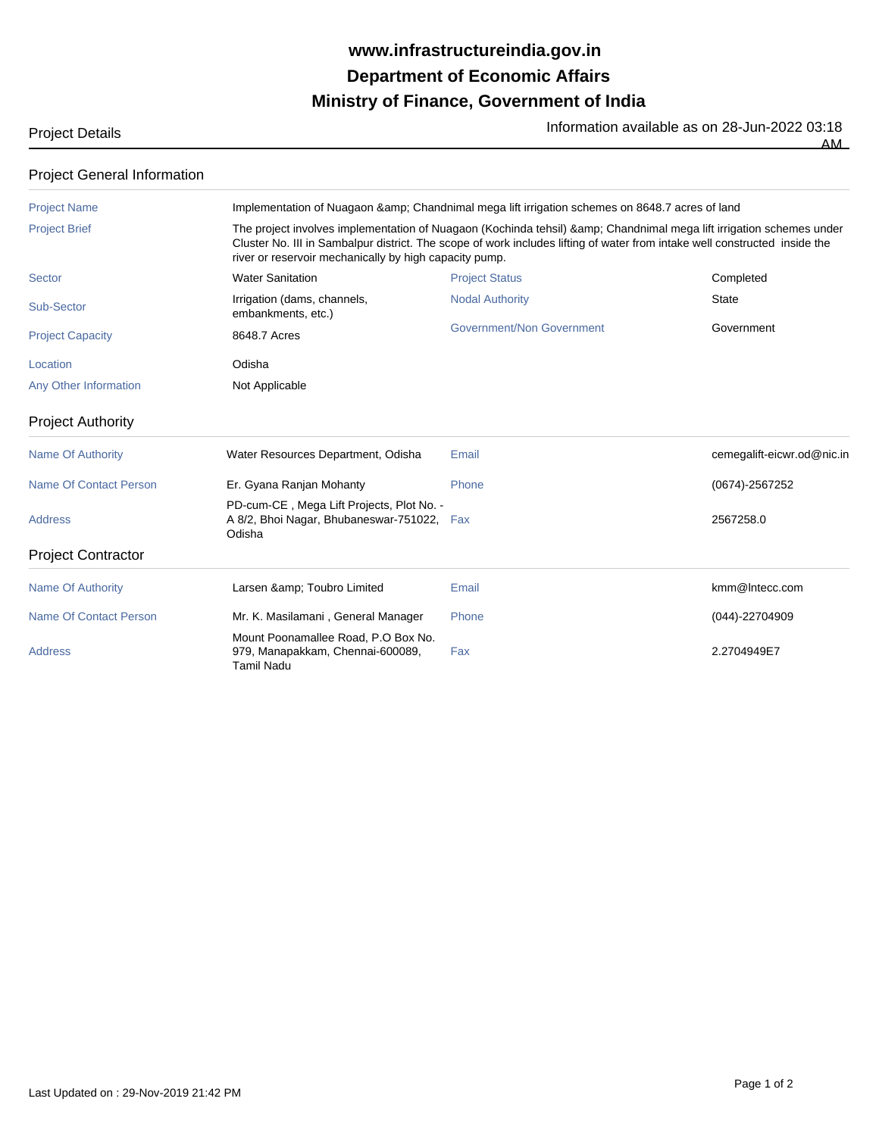## **Ministry of Finance, Government of India Department of Economic Affairs www.infrastructureindia.gov.in**

| <b>Project Details</b> | Information available as on 28-Jun-2022 03:18 |
|------------------------|-----------------------------------------------|
|                        | AМ<br>___                                     |

| <b>Project General Information</b> |  |
|------------------------------------|--|

| <b>Project Name</b>           |                                                                                                                                                                                                                                                                                                          | Implementation of Nuagaon & Chandnimal mega lift irrigation schemes on 8648.7 acres of land |                            |  |
|-------------------------------|----------------------------------------------------------------------------------------------------------------------------------------------------------------------------------------------------------------------------------------------------------------------------------------------------------|---------------------------------------------------------------------------------------------|----------------------------|--|
| <b>Project Brief</b>          | The project involves implementation of Nuagaon (Kochinda tehsil) & Chandnimal mega lift irrigation schemes under<br>Cluster No. III in Sambalpur district. The scope of work includes lifting of water from intake well constructed inside the<br>river or reservoir mechanically by high capacity pump. |                                                                                             |                            |  |
| Sector                        | <b>Water Sanitation</b>                                                                                                                                                                                                                                                                                  | <b>Project Status</b>                                                                       | Completed                  |  |
| Sub-Sector                    | Irrigation (dams, channels,<br>embankments, etc.)                                                                                                                                                                                                                                                        | <b>Nodal Authority</b>                                                                      | <b>State</b>               |  |
| <b>Project Capacity</b>       | 8648.7 Acres                                                                                                                                                                                                                                                                                             | <b>Government/Non Government</b>                                                            | Government                 |  |
| Location                      | Odisha                                                                                                                                                                                                                                                                                                   |                                                                                             |                            |  |
| Any Other Information         | Not Applicable                                                                                                                                                                                                                                                                                           |                                                                                             |                            |  |
| <b>Project Authority</b>      |                                                                                                                                                                                                                                                                                                          |                                                                                             |                            |  |
| <b>Name Of Authority</b>      | Water Resources Department, Odisha                                                                                                                                                                                                                                                                       | Email                                                                                       | cemegalift-eicwr.od@nic.in |  |
| <b>Name Of Contact Person</b> | Er. Gyana Ranjan Mohanty                                                                                                                                                                                                                                                                                 | Phone                                                                                       | $(0674) - 2567252$         |  |
| <b>Address</b>                | PD-cum-CE, Mega Lift Projects, Plot No. -<br>A 8/2, Bhoi Nagar, Bhubaneswar-751022, Fax<br>Odisha                                                                                                                                                                                                        |                                                                                             | 2567258.0                  |  |
| <b>Project Contractor</b>     |                                                                                                                                                                                                                                                                                                          |                                                                                             |                            |  |
| <b>Name Of Authority</b>      | Larsen & Toubro Limited                                                                                                                                                                                                                                                                                  | Email                                                                                       | kmm@Intecc.com             |  |
| Name Of Contact Person        | Mr. K. Masilamani, General Manager                                                                                                                                                                                                                                                                       | Phone                                                                                       | (044)-22704909             |  |
| <b>Address</b>                | Mount Poonamallee Road, P.O Box No.<br>979, Manapakkam, Chennai-600089,<br><b>Tamil Nadu</b>                                                                                                                                                                                                             | Fax                                                                                         | 2.2704949E7                |  |